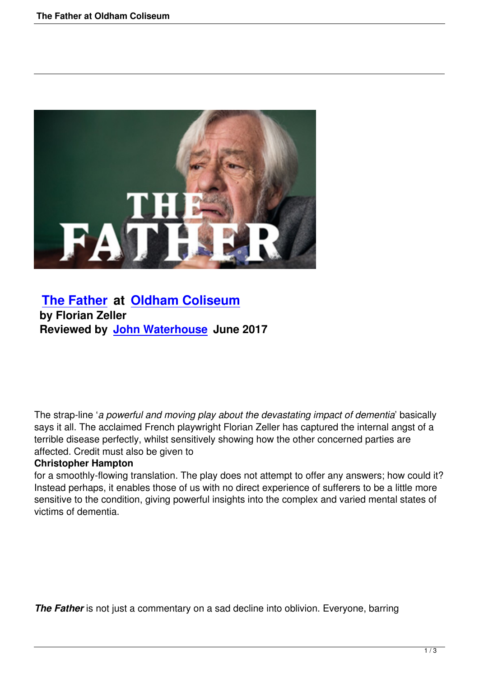

## **The Father at Oldham Coliseum by Florian Zeller [Reviewed by](the-father-oldham-coliseum.html) Jo[hn Waterhouse June](http://www.coliseum.org.uk/) 2017**

The strap-line '*a powerful and moving play about the devastating impact of dementia*' basically says it all. The acclaimed French playwright Florian Zeller has captured the internal angst of a terrible disease perfectly, whilst sensitively showing how the other concerned parties are affected. Credit must also be given to

## **Christopher Hampton**

for a smoothly-flowing translation. The play does not attempt to offer any answers; how could it? Instead perhaps, it enables those of us with no direct experience of sufferers to be a little more sensitive to the condition, giving powerful insights into the complex and varied mental states of victims of dementia.

**The Father** is not just a commentary on a sad decline into oblivion. Everyone, barring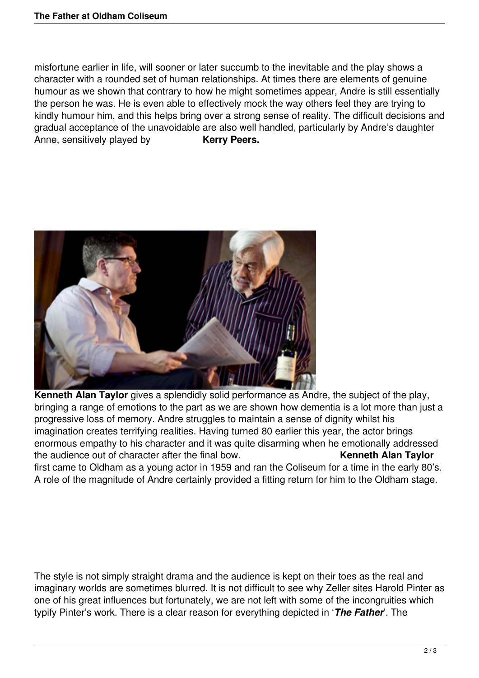misfortune earlier in life, will sooner or later succumb to the inevitable and the play shows a character with a rounded set of human relationships. At times there are elements of genuine humour as we shown that contrary to how he might sometimes appear, Andre is still essentially the person he was. He is even able to effectively mock the way others feel they are trying to kindly humour him, and this helps bring over a strong sense of reality. The difficult decisions and gradual acceptance of the unavoidable are also well handled, particularly by Andre's daughter Anne, sensitively played by **Kerry Peers.** 



**Kenneth Alan Taylor** gives a splendidly solid performance as Andre, the subject of the play, bringing a range of emotions to the part as we are shown how dementia is a lot more than just a progressive loss of memory. Andre struggles to maintain a sense of dignity whilst his imagination creates terrifying realities. Having turned 80 earlier this year, the actor brings enormous empathy to his character and it was quite disarming when he emotionally addressed the audience out of character after the final bow. **Kenneth Alan Taylor**

first came to Oldham as a young actor in 1959 and ran the Coliseum for a time in the early 80's. A role of the magnitude of Andre certainly provided a fitting return for him to the Oldham stage.

The style is not simply straight drama and the audience is kept on their toes as the real and imaginary worlds are sometimes blurred. It is not difficult to see why Zeller sites Harold Pinter as one of his great influences but fortunately, we are not left with some of the incongruities which typify Pinter's work. There is a clear reason for everything depicted in '*The Father*'. The